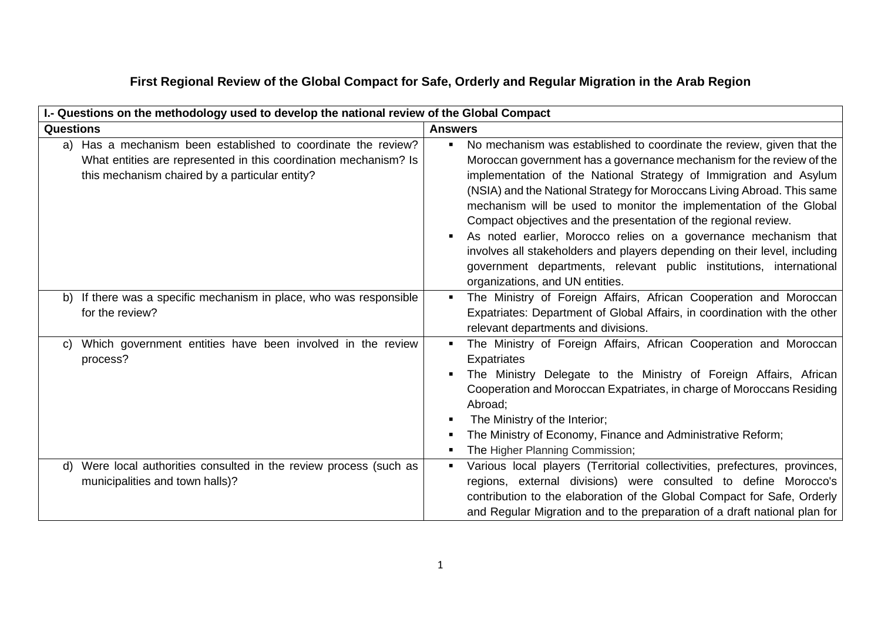## **First Regional Review of the Global Compact for Safe, Orderly and Regular Migration in the Arab Region**

| I.- Questions on the methodology used to develop the national review of the Global Compact                                                                                          |                                                                                                                                                                                                                                                                                                                                                                                                                                                                                                                                                                                                                                                                                                                                      |  |
|-------------------------------------------------------------------------------------------------------------------------------------------------------------------------------------|--------------------------------------------------------------------------------------------------------------------------------------------------------------------------------------------------------------------------------------------------------------------------------------------------------------------------------------------------------------------------------------------------------------------------------------------------------------------------------------------------------------------------------------------------------------------------------------------------------------------------------------------------------------------------------------------------------------------------------------|--|
| <b>Questions</b>                                                                                                                                                                    | <b>Answers</b>                                                                                                                                                                                                                                                                                                                                                                                                                                                                                                                                                                                                                                                                                                                       |  |
| a) Has a mechanism been established to coordinate the review?<br>What entities are represented in this coordination mechanism? Is<br>this mechanism chaired by a particular entity? | No mechanism was established to coordinate the review, given that the<br>$\blacksquare$<br>Moroccan government has a governance mechanism for the review of the<br>implementation of the National Strategy of Immigration and Asylum<br>(NSIA) and the National Strategy for Moroccans Living Abroad. This same<br>mechanism will be used to monitor the implementation of the Global<br>Compact objectives and the presentation of the regional review.<br>As noted earlier, Morocco relies on a governance mechanism that<br>$\blacksquare$<br>involves all stakeholders and players depending on their level, including<br>government departments, relevant public institutions, international<br>organizations, and UN entities. |  |
| b) If there was a specific mechanism in place, who was responsible<br>for the review?                                                                                               | The Ministry of Foreign Affairs, African Cooperation and Moroccan<br>$\blacksquare$<br>Expatriates: Department of Global Affairs, in coordination with the other<br>relevant departments and divisions.                                                                                                                                                                                                                                                                                                                                                                                                                                                                                                                              |  |
| Which government entities have been involved in the review<br>C)<br>process?                                                                                                        | The Ministry of Foreign Affairs, African Cooperation and Moroccan<br>Expatriates<br>The Ministry Delegate to the Ministry of Foreign Affairs, African<br>Cooperation and Moroccan Expatriates, in charge of Moroccans Residing<br>Abroad;<br>The Ministry of the Interior;<br>п<br>The Ministry of Economy, Finance and Administrative Reform;<br>The Higher Planning Commission;                                                                                                                                                                                                                                                                                                                                                    |  |
| Were local authorities consulted in the review process (such as<br>d)<br>municipalities and town halls)?                                                                            | Various local players (Territorial collectivities, prefectures, provinces,<br>$\blacksquare$<br>regions, external divisions) were consulted to define Morocco's<br>contribution to the elaboration of the Global Compact for Safe, Orderly<br>and Regular Migration and to the preparation of a draft national plan for                                                                                                                                                                                                                                                                                                                                                                                                              |  |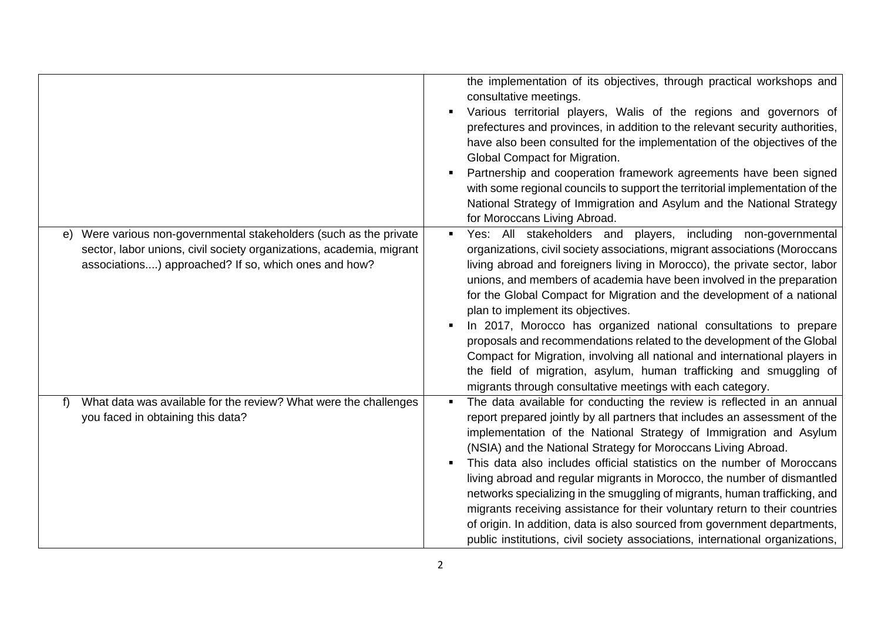|                                                                                                                                                                                                       | the implementation of its objectives, through practical workshops and<br>consultative meetings.<br>Various territorial players, Walis of the regions and governors of<br>٠<br>prefectures and provinces, in addition to the relevant security authorities,<br>have also been consulted for the implementation of the objectives of the<br>Global Compact for Migration.<br>Partnership and cooperation framework agreements have been signed<br>with some regional councils to support the territorial implementation of the<br>National Strategy of Immigration and Asylum and the National Strategy<br>for Moroccans Living Abroad.                                                                                                                                                                          |
|-------------------------------------------------------------------------------------------------------------------------------------------------------------------------------------------------------|----------------------------------------------------------------------------------------------------------------------------------------------------------------------------------------------------------------------------------------------------------------------------------------------------------------------------------------------------------------------------------------------------------------------------------------------------------------------------------------------------------------------------------------------------------------------------------------------------------------------------------------------------------------------------------------------------------------------------------------------------------------------------------------------------------------|
| Were various non-governmental stakeholders (such as the private<br>e)<br>sector, labor unions, civil society organizations, academia, migrant<br>associations) approached? If so, which ones and how? | Yes: All stakeholders and players, including non-governmental<br>$\blacksquare$<br>organizations, civil society associations, migrant associations (Moroccans<br>living abroad and foreigners living in Morocco), the private sector, labor<br>unions, and members of academia have been involved in the preparation<br>for the Global Compact for Migration and the development of a national<br>plan to implement its objectives.<br>In 2017, Morocco has organized national consultations to prepare<br>٠<br>proposals and recommendations related to the development of the Global<br>Compact for Migration, involving all national and international players in<br>the field of migration, asylum, human trafficking and smuggling of<br>migrants through consultative meetings with each category.       |
| What data was available for the review? What were the challenges<br>f<br>you faced in obtaining this data?                                                                                            | The data available for conducting the review is reflected in an annual<br>$\blacksquare$<br>report prepared jointly by all partners that includes an assessment of the<br>implementation of the National Strategy of Immigration and Asylum<br>(NSIA) and the National Strategy for Moroccans Living Abroad.<br>This data also includes official statistics on the number of Moroccans<br>$\blacksquare$<br>living abroad and regular migrants in Morocco, the number of dismantled<br>networks specializing in the smuggling of migrants, human trafficking, and<br>migrants receiving assistance for their voluntary return to their countries<br>of origin. In addition, data is also sourced from government departments,<br>public institutions, civil society associations, international organizations, |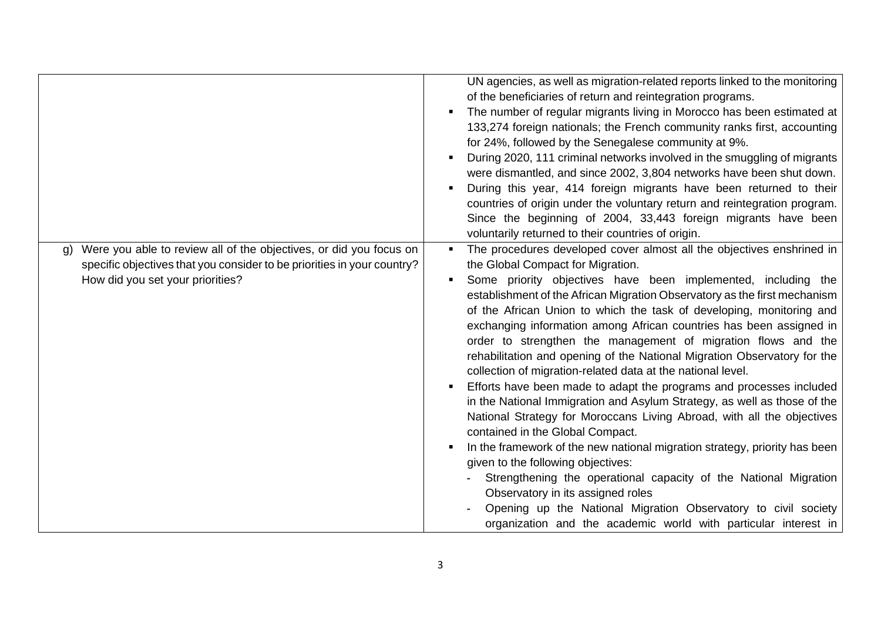|                                                                                                                                                                                                   | UN agencies, as well as migration-related reports linked to the monitoring<br>of the beneficiaries of return and reintegration programs.<br>The number of regular migrants living in Morocco has been estimated at<br>133,274 foreign nationals; the French community ranks first, accounting<br>for 24%, followed by the Senegalese community at 9%.<br>During 2020, 111 criminal networks involved in the smuggling of migrants<br>were dismantled, and since 2002, 3,804 networks have been shut down.<br>During this year, 414 foreign migrants have been returned to their<br>countries of origin under the voluntary return and reintegration program.<br>Since the beginning of 2004, 33,443 foreign migrants have been<br>voluntarily returned to their countries of origin.                                                                                                                                                                                                                                                                                                                                                                                                                                                                   |
|---------------------------------------------------------------------------------------------------------------------------------------------------------------------------------------------------|--------------------------------------------------------------------------------------------------------------------------------------------------------------------------------------------------------------------------------------------------------------------------------------------------------------------------------------------------------------------------------------------------------------------------------------------------------------------------------------------------------------------------------------------------------------------------------------------------------------------------------------------------------------------------------------------------------------------------------------------------------------------------------------------------------------------------------------------------------------------------------------------------------------------------------------------------------------------------------------------------------------------------------------------------------------------------------------------------------------------------------------------------------------------------------------------------------------------------------------------------------|
| Were you able to review all of the objectives, or did you focus on<br>$\mathsf{q}$<br>specific objectives that you consider to be priorities in your country?<br>How did you set your priorities? | The procedures developed cover almost all the objectives enshrined in<br>the Global Compact for Migration.<br>Some priority objectives have been implemented, including the<br>establishment of the African Migration Observatory as the first mechanism<br>of the African Union to which the task of developing, monitoring and<br>exchanging information among African countries has been assigned in<br>order to strengthen the management of migration flows and the<br>rehabilitation and opening of the National Migration Observatory for the<br>collection of migration-related data at the national level.<br>Efforts have been made to adapt the programs and processes included<br>in the National Immigration and Asylum Strategy, as well as those of the<br>National Strategy for Moroccans Living Abroad, with all the objectives<br>contained in the Global Compact.<br>In the framework of the new national migration strategy, priority has been<br>given to the following objectives:<br>Strengthening the operational capacity of the National Migration<br>Observatory in its assigned roles<br>Opening up the National Migration Observatory to civil society<br>organization and the academic world with particular interest in |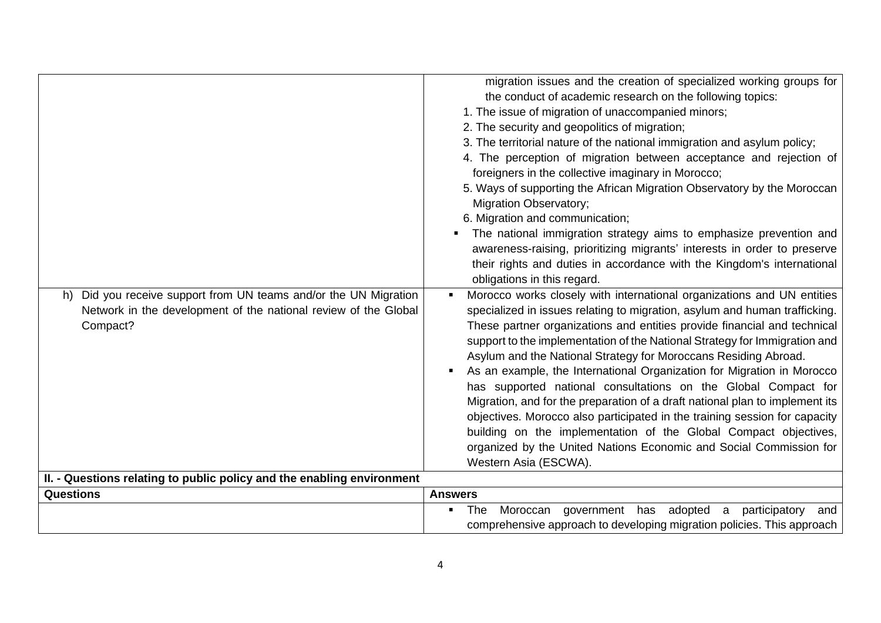| Did you receive support from UN teams and/or the UN Migration<br>h)<br>Network in the development of the national review of the Global<br>Compact? | migration issues and the creation of specialized working groups for<br>the conduct of academic research on the following topics:<br>1. The issue of migration of unaccompanied minors;<br>2. The security and geopolitics of migration;<br>3. The territorial nature of the national immigration and asylum policy;<br>4. The perception of migration between acceptance and rejection of<br>foreigners in the collective imaginary in Morocco;<br>5. Ways of supporting the African Migration Observatory by the Moroccan<br><b>Migration Observatory;</b><br>6. Migration and communication;<br>The national immigration strategy aims to emphasize prevention and<br>awareness-raising, prioritizing migrants' interests in order to preserve<br>their rights and duties in accordance with the Kingdom's international<br>obligations in this regard.<br>Morocco works closely with international organizations and UN entities<br>specialized in issues relating to migration, asylum and human trafficking.<br>These partner organizations and entities provide financial and technical<br>support to the implementation of the National Strategy for Immigration and<br>Asylum and the National Strategy for Moroccans Residing Abroad.<br>As an example, the International Organization for Migration in Morocco<br>has supported national consultations on the Global Compact for<br>Migration, and for the preparation of a draft national plan to implement its<br>objectives. Morocco also participated in the training session for capacity<br>building on the implementation of the Global Compact objectives,<br>organized by the United Nations Economic and Social Commission for |
|----------------------------------------------------------------------------------------------------------------------------------------------------|----------------------------------------------------------------------------------------------------------------------------------------------------------------------------------------------------------------------------------------------------------------------------------------------------------------------------------------------------------------------------------------------------------------------------------------------------------------------------------------------------------------------------------------------------------------------------------------------------------------------------------------------------------------------------------------------------------------------------------------------------------------------------------------------------------------------------------------------------------------------------------------------------------------------------------------------------------------------------------------------------------------------------------------------------------------------------------------------------------------------------------------------------------------------------------------------------------------------------------------------------------------------------------------------------------------------------------------------------------------------------------------------------------------------------------------------------------------------------------------------------------------------------------------------------------------------------------------------------------------------------------------------------------------------------------------------------|
| II. - Questions relating to public policy and the enabling environment                                                                             | Western Asia (ESCWA).                                                                                                                                                                                                                                                                                                                                                                                                                                                                                                                                                                                                                                                                                                                                                                                                                                                                                                                                                                                                                                                                                                                                                                                                                                                                                                                                                                                                                                                                                                                                                                                                                                                                              |
|                                                                                                                                                    |                                                                                                                                                                                                                                                                                                                                                                                                                                                                                                                                                                                                                                                                                                                                                                                                                                                                                                                                                                                                                                                                                                                                                                                                                                                                                                                                                                                                                                                                                                                                                                                                                                                                                                    |
| <b>Questions</b>                                                                                                                                   | <b>Answers</b>                                                                                                                                                                                                                                                                                                                                                                                                                                                                                                                                                                                                                                                                                                                                                                                                                                                                                                                                                                                                                                                                                                                                                                                                                                                                                                                                                                                                                                                                                                                                                                                                                                                                                     |
|                                                                                                                                                    | Moroccan government has adopted a<br>The<br>participatory<br>and<br>$\blacksquare$<br>comprehensive approach to developing migration policies. This approach                                                                                                                                                                                                                                                                                                                                                                                                                                                                                                                                                                                                                                                                                                                                                                                                                                                                                                                                                                                                                                                                                                                                                                                                                                                                                                                                                                                                                                                                                                                                       |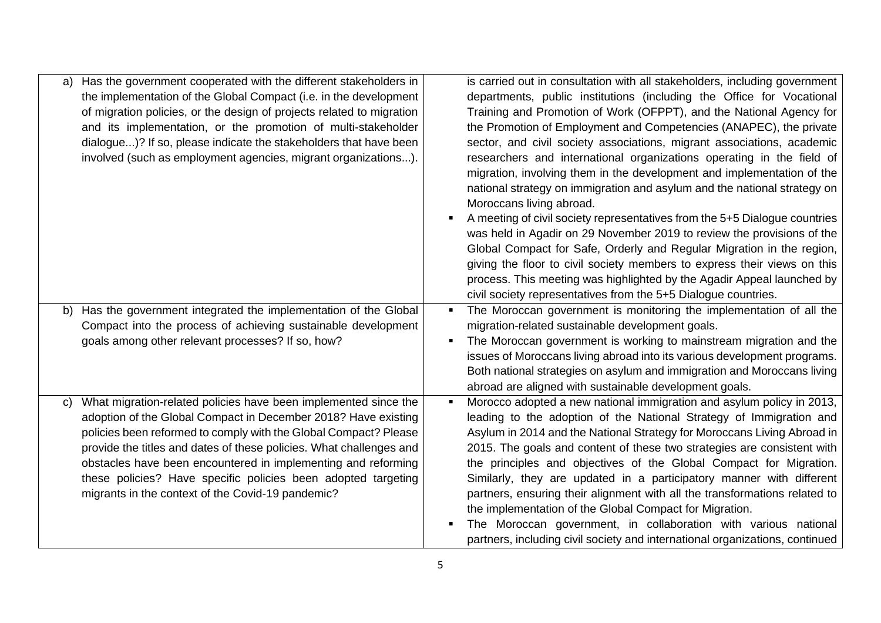| a) | Has the government cooperated with the different stakeholders in<br>the implementation of the Global Compact (i.e. in the development<br>of migration policies, or the design of projects related to migration<br>and its implementation, or the promotion of multi-stakeholder<br>dialogue)? If so, please indicate the stakeholders that have been<br>involved (such as employment agencies, migrant organizations).                                              | is carried out in consultation with all stakeholders, including government<br>departments, public institutions (including the Office for Vocational<br>Training and Promotion of Work (OFPPT), and the National Agency for<br>the Promotion of Employment and Competencies (ANAPEC), the private<br>sector, and civil society associations, migrant associations, academic<br>researchers and international organizations operating in the field of<br>migration, involving them in the development and implementation of the<br>national strategy on immigration and asylum and the national strategy on<br>Moroccans living abroad.<br>A meeting of civil society representatives from the 5+5 Dialogue countries<br>was held in Agadir on 29 November 2019 to review the provisions of the<br>Global Compact for Safe, Orderly and Regular Migration in the region,<br>giving the floor to civil society members to express their views on this<br>process. This meeting was highlighted by the Agadir Appeal launched by<br>civil society representatives from the 5+5 Dialogue countries. |
|----|---------------------------------------------------------------------------------------------------------------------------------------------------------------------------------------------------------------------------------------------------------------------------------------------------------------------------------------------------------------------------------------------------------------------------------------------------------------------|------------------------------------------------------------------------------------------------------------------------------------------------------------------------------------------------------------------------------------------------------------------------------------------------------------------------------------------------------------------------------------------------------------------------------------------------------------------------------------------------------------------------------------------------------------------------------------------------------------------------------------------------------------------------------------------------------------------------------------------------------------------------------------------------------------------------------------------------------------------------------------------------------------------------------------------------------------------------------------------------------------------------------------------------------------------------------------------------|
|    | b) Has the government integrated the implementation of the Global<br>Compact into the process of achieving sustainable development<br>goals among other relevant processes? If so, how?                                                                                                                                                                                                                                                                             | The Moroccan government is monitoring the implementation of all the<br>migration-related sustainable development goals.<br>The Moroccan government is working to mainstream migration and the<br>issues of Moroccans living abroad into its various development programs.<br>Both national strategies on asylum and immigration and Moroccans living<br>abroad are aligned with sustainable development goals.                                                                                                                                                                                                                                                                                                                                                                                                                                                                                                                                                                                                                                                                                 |
| C) | What migration-related policies have been implemented since the<br>adoption of the Global Compact in December 2018? Have existing<br>policies been reformed to comply with the Global Compact? Please<br>provide the titles and dates of these policies. What challenges and<br>obstacles have been encountered in implementing and reforming<br>these policies? Have specific policies been adopted targeting<br>migrants in the context of the Covid-19 pandemic? | Morocco adopted a new national immigration and asylum policy in 2013,<br>leading to the adoption of the National Strategy of Immigration and<br>Asylum in 2014 and the National Strategy for Moroccans Living Abroad in<br>2015. The goals and content of these two strategies are consistent with<br>the principles and objectives of the Global Compact for Migration.<br>Similarly, they are updated in a participatory manner with different<br>partners, ensuring their alignment with all the transformations related to<br>the implementation of the Global Compact for Migration.<br>The Moroccan government, in collaboration with various national<br>partners, including civil society and international organizations, continued                                                                                                                                                                                                                                                                                                                                                   |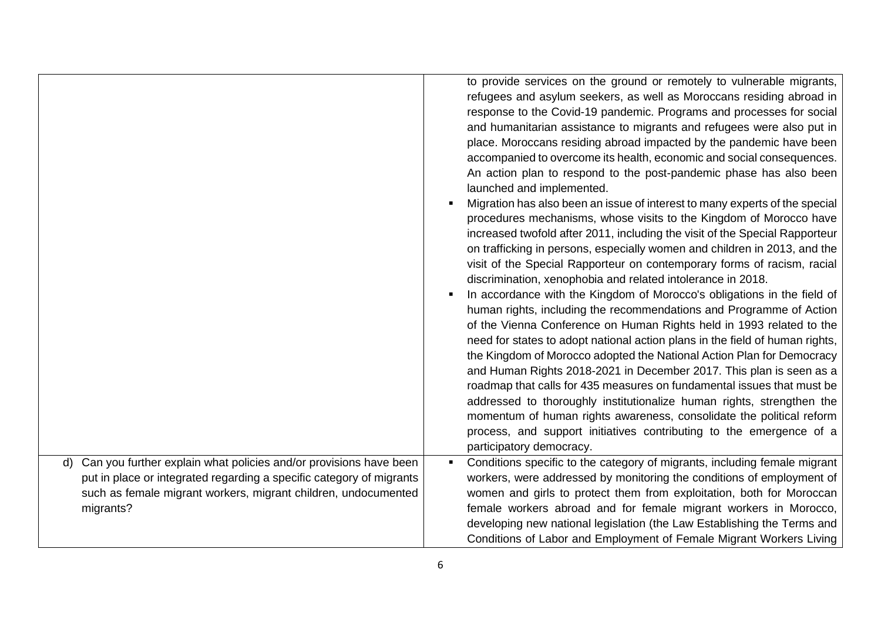|                                                                                                                                                     | to provide services on the ground or remotely to vulnerable migrants,<br>refugees and asylum seekers, as well as Moroccans residing abroad in<br>response to the Covid-19 pandemic. Programs and processes for social<br>and humanitarian assistance to migrants and refugees were also put in<br>place. Moroccans residing abroad impacted by the pandemic have been<br>accompanied to overcome its health, economic and social consequences.<br>An action plan to respond to the post-pandemic phase has also been<br>launched and implemented.<br>Migration has also been an issue of interest to many experts of the special<br>$\blacksquare$<br>procedures mechanisms, whose visits to the Kingdom of Morocco have<br>increased twofold after 2011, including the visit of the Special Rapporteur<br>on trafficking in persons, especially women and children in 2013, and the<br>visit of the Special Rapporteur on contemporary forms of racism, racial<br>discrimination, xenophobia and related intolerance in 2018.<br>In accordance with the Kingdom of Morocco's obligations in the field of<br>٠<br>human rights, including the recommendations and Programme of Action<br>of the Vienna Conference on Human Rights held in 1993 related to the<br>need for states to adopt national action plans in the field of human rights,<br>the Kingdom of Morocco adopted the National Action Plan for Democracy<br>and Human Rights 2018-2021 in December 2017. This plan is seen as a<br>roadmap that calls for 435 measures on fundamental issues that must be<br>addressed to thoroughly institutionalize human rights, strengthen the<br>momentum of human rights awareness, consolidate the political reform<br>process, and support initiatives contributing to the emergence of a |
|-----------------------------------------------------------------------------------------------------------------------------------------------------|-------------------------------------------------------------------------------------------------------------------------------------------------------------------------------------------------------------------------------------------------------------------------------------------------------------------------------------------------------------------------------------------------------------------------------------------------------------------------------------------------------------------------------------------------------------------------------------------------------------------------------------------------------------------------------------------------------------------------------------------------------------------------------------------------------------------------------------------------------------------------------------------------------------------------------------------------------------------------------------------------------------------------------------------------------------------------------------------------------------------------------------------------------------------------------------------------------------------------------------------------------------------------------------------------------------------------------------------------------------------------------------------------------------------------------------------------------------------------------------------------------------------------------------------------------------------------------------------------------------------------------------------------------------------------------------------------------------------------------------------------------------------------------------------------|
| Can you further explain what policies and/or provisions have been<br>d)                                                                             | participatory democracy.<br>Conditions specific to the category of migrants, including female migrant                                                                                                                                                                                                                                                                                                                                                                                                                                                                                                                                                                                                                                                                                                                                                                                                                                                                                                                                                                                                                                                                                                                                                                                                                                                                                                                                                                                                                                                                                                                                                                                                                                                                                           |
| put in place or integrated regarding a specific category of migrants<br>such as female migrant workers, migrant children, undocumented<br>migrants? | workers, were addressed by monitoring the conditions of employment of<br>women and girls to protect them from exploitation, both for Moroccan<br>female workers abroad and for female migrant workers in Morocco,<br>developing new national legislation (the Law Establishing the Terms and<br>Conditions of Labor and Employment of Female Migrant Workers Living                                                                                                                                                                                                                                                                                                                                                                                                                                                                                                                                                                                                                                                                                                                                                                                                                                                                                                                                                                                                                                                                                                                                                                                                                                                                                                                                                                                                                             |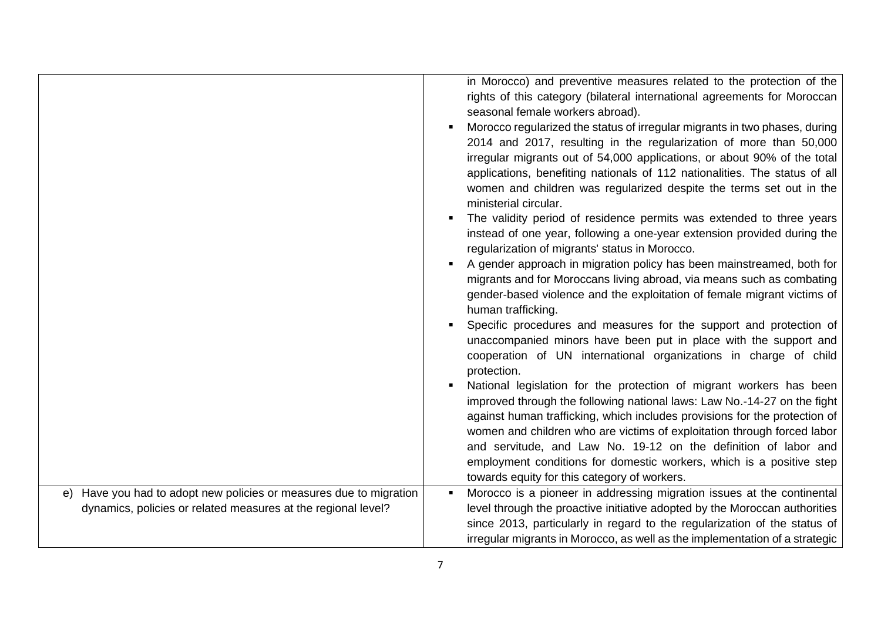|                                                                       | in Morocco) and preventive measures related to the protection of the<br>rights of this category (bilateral international agreements for Moroccan<br>seasonal female workers abroad).<br>Morocco regularized the status of irregular migrants in two phases, during<br>$\blacksquare$<br>2014 and 2017, resulting in the regularization of more than 50,000<br>irregular migrants out of 54,000 applications, or about 90% of the total<br>applications, benefiting nationals of 112 nationalities. The status of all<br>women and children was regularized despite the terms set out in the<br>ministerial circular.<br>The validity period of residence permits was extended to three years<br>instead of one year, following a one-year extension provided during the<br>regularization of migrants' status in Morocco.<br>A gender approach in migration policy has been mainstreamed, both for<br>$\blacksquare$<br>migrants and for Moroccans living abroad, via means such as combating<br>gender-based violence and the exploitation of female migrant victims of<br>human trafficking.<br>Specific procedures and measures for the support and protection of<br>unaccompanied minors have been put in place with the support and<br>cooperation of UN international organizations in charge of child<br>protection.<br>National legislation for the protection of migrant workers has been<br>$\blacksquare$<br>improved through the following national laws: Law No.-14-27 on the fight<br>against human trafficking, which includes provisions for the protection of<br>women and children who are victims of exploitation through forced labor<br>and servitude, and Law No. 19-12 on the definition of labor and<br>employment conditions for domestic workers, which is a positive step<br>towards equity for this category of workers. |
|-----------------------------------------------------------------------|------------------------------------------------------------------------------------------------------------------------------------------------------------------------------------------------------------------------------------------------------------------------------------------------------------------------------------------------------------------------------------------------------------------------------------------------------------------------------------------------------------------------------------------------------------------------------------------------------------------------------------------------------------------------------------------------------------------------------------------------------------------------------------------------------------------------------------------------------------------------------------------------------------------------------------------------------------------------------------------------------------------------------------------------------------------------------------------------------------------------------------------------------------------------------------------------------------------------------------------------------------------------------------------------------------------------------------------------------------------------------------------------------------------------------------------------------------------------------------------------------------------------------------------------------------------------------------------------------------------------------------------------------------------------------------------------------------------------------------------------------------------------------------------------------------------------------------------------------|
| Have you had to adopt new policies or measures due to migration<br>e) | Morocco is a pioneer in addressing migration issues at the continental<br>$\blacksquare$                                                                                                                                                                                                                                                                                                                                                                                                                                                                                                                                                                                                                                                                                                                                                                                                                                                                                                                                                                                                                                                                                                                                                                                                                                                                                                                                                                                                                                                                                                                                                                                                                                                                                                                                                             |
| dynamics, policies or related measures at the regional level?         | level through the proactive initiative adopted by the Moroccan authorities                                                                                                                                                                                                                                                                                                                                                                                                                                                                                                                                                                                                                                                                                                                                                                                                                                                                                                                                                                                                                                                                                                                                                                                                                                                                                                                                                                                                                                                                                                                                                                                                                                                                                                                                                                           |
|                                                                       | since 2013, particularly in regard to the regularization of the status of                                                                                                                                                                                                                                                                                                                                                                                                                                                                                                                                                                                                                                                                                                                                                                                                                                                                                                                                                                                                                                                                                                                                                                                                                                                                                                                                                                                                                                                                                                                                                                                                                                                                                                                                                                            |
|                                                                       | irregular migrants in Morocco, as well as the implementation of a strategic                                                                                                                                                                                                                                                                                                                                                                                                                                                                                                                                                                                                                                                                                                                                                                                                                                                                                                                                                                                                                                                                                                                                                                                                                                                                                                                                                                                                                                                                                                                                                                                                                                                                                                                                                                          |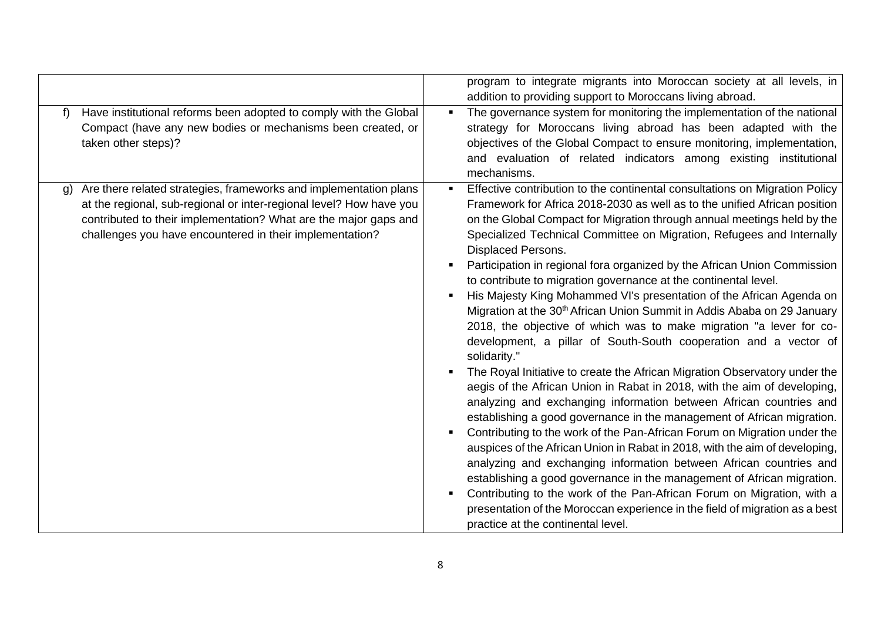|                                                                                                                                                                                                                                                                                | program to integrate migrants into Moroccan society at all levels, in<br>addition to providing support to Moroccans living abroad.                                                                                                                                                                                                                                                                                                                                                                                                                                                                                                                                                                                                                                                                                                                                                                                                                                                                                                                                                                                                                                                                                                                                                                                                                                                                                                                                                                                                                                                                                                                |
|--------------------------------------------------------------------------------------------------------------------------------------------------------------------------------------------------------------------------------------------------------------------------------|---------------------------------------------------------------------------------------------------------------------------------------------------------------------------------------------------------------------------------------------------------------------------------------------------------------------------------------------------------------------------------------------------------------------------------------------------------------------------------------------------------------------------------------------------------------------------------------------------------------------------------------------------------------------------------------------------------------------------------------------------------------------------------------------------------------------------------------------------------------------------------------------------------------------------------------------------------------------------------------------------------------------------------------------------------------------------------------------------------------------------------------------------------------------------------------------------------------------------------------------------------------------------------------------------------------------------------------------------------------------------------------------------------------------------------------------------------------------------------------------------------------------------------------------------------------------------------------------------------------------------------------------------|
| Have institutional reforms been adopted to comply with the Global<br>f)<br>Compact (have any new bodies or mechanisms been created, or<br>taken other steps)?                                                                                                                  | The governance system for monitoring the implementation of the national<br>strategy for Moroccans living abroad has been adapted with the<br>objectives of the Global Compact to ensure monitoring, implementation,<br>and evaluation of related indicators among existing institutional<br>mechanisms.                                                                                                                                                                                                                                                                                                                                                                                                                                                                                                                                                                                                                                                                                                                                                                                                                                                                                                                                                                                                                                                                                                                                                                                                                                                                                                                                           |
| Are there related strategies, frameworks and implementation plans<br>g)<br>at the regional, sub-regional or inter-regional level? How have you<br>contributed to their implementation? What are the major gaps and<br>challenges you have encountered in their implementation? | Effective contribution to the continental consultations on Migration Policy<br>$\blacksquare$<br>Framework for Africa 2018-2030 as well as to the unified African position<br>on the Global Compact for Migration through annual meetings held by the<br>Specialized Technical Committee on Migration, Refugees and Internally<br>Displaced Persons.<br>Participation in regional fora organized by the African Union Commission<br>to contribute to migration governance at the continental level.<br>His Majesty King Mohammed VI's presentation of the African Agenda on<br>Migration at the 30 <sup>th</sup> African Union Summit in Addis Ababa on 29 January<br>2018, the objective of which was to make migration "a lever for co-<br>development, a pillar of South-South cooperation and a vector of<br>solidarity."<br>The Royal Initiative to create the African Migration Observatory under the<br>aegis of the African Union in Rabat in 2018, with the aim of developing,<br>analyzing and exchanging information between African countries and<br>establishing a good governance in the management of African migration.<br>Contributing to the work of the Pan-African Forum on Migration under the<br>auspices of the African Union in Rabat in 2018, with the aim of developing,<br>analyzing and exchanging information between African countries and<br>establishing a good governance in the management of African migration.<br>Contributing to the work of the Pan-African Forum on Migration, with a<br>presentation of the Moroccan experience in the field of migration as a best<br>practice at the continental level. |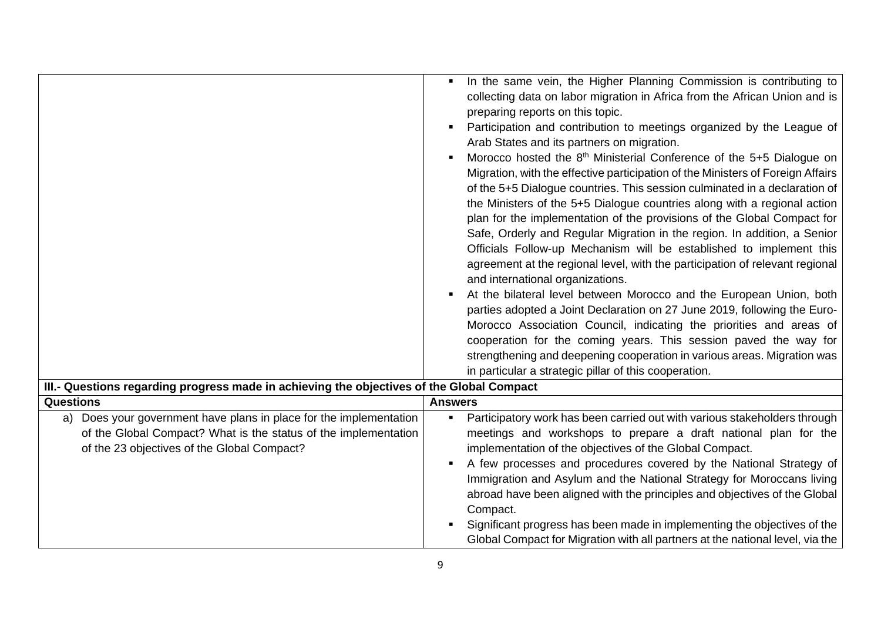|                                                                                                                                                                                         | In the same vein, the Higher Planning Commission is contributing to<br>$\blacksquare$<br>collecting data on labor migration in Africa from the African Union and is<br>preparing reports on this topic.<br>Participation and contribution to meetings organized by the League of<br>Arab States and its partners on migration.<br>Morocco hosted the 8 <sup>th</sup> Ministerial Conference of the 5+5 Dialogue on<br>٠<br>Migration, with the effective participation of the Ministers of Foreign Affairs<br>of the 5+5 Dialogue countries. This session culminated in a declaration of<br>the Ministers of the 5+5 Dialogue countries along with a regional action<br>plan for the implementation of the provisions of the Global Compact for<br>Safe, Orderly and Regular Migration in the region. In addition, a Senior<br>Officials Follow-up Mechanism will be established to implement this<br>agreement at the regional level, with the participation of relevant regional<br>and international organizations.<br>At the bilateral level between Morocco and the European Union, both<br>parties adopted a Joint Declaration on 27 June 2019, following the Euro-<br>Morocco Association Council, indicating the priorities and areas of<br>cooperation for the coming years. This session paved the way for<br>strengthening and deepening cooperation in various areas. Migration was<br>in particular a strategic pillar of this cooperation. |
|-----------------------------------------------------------------------------------------------------------------------------------------------------------------------------------------|----------------------------------------------------------------------------------------------------------------------------------------------------------------------------------------------------------------------------------------------------------------------------------------------------------------------------------------------------------------------------------------------------------------------------------------------------------------------------------------------------------------------------------------------------------------------------------------------------------------------------------------------------------------------------------------------------------------------------------------------------------------------------------------------------------------------------------------------------------------------------------------------------------------------------------------------------------------------------------------------------------------------------------------------------------------------------------------------------------------------------------------------------------------------------------------------------------------------------------------------------------------------------------------------------------------------------------------------------------------------------------------------------------------------------------------------------------|
| III.- Questions regarding progress made in achieving the objectives of the Global Compact                                                                                               |                                                                                                                                                                                                                                                                                                                                                                                                                                                                                                                                                                                                                                                                                                                                                                                                                                                                                                                                                                                                                                                                                                                                                                                                                                                                                                                                                                                                                                                          |
| <b>Questions</b>                                                                                                                                                                        | <b>Answers</b>                                                                                                                                                                                                                                                                                                                                                                                                                                                                                                                                                                                                                                                                                                                                                                                                                                                                                                                                                                                                                                                                                                                                                                                                                                                                                                                                                                                                                                           |
| Does your government have plans in place for the implementation<br>a)<br>of the Global Compact? What is the status of the implementation<br>of the 23 objectives of the Global Compact? | Participatory work has been carried out with various stakeholders through<br>$\blacksquare$<br>meetings and workshops to prepare a draft national plan for the<br>implementation of the objectives of the Global Compact.<br>A few processes and procedures covered by the National Strategy of<br>٠<br>Immigration and Asylum and the National Strategy for Moroccans living<br>abroad have been aligned with the principles and objectives of the Global<br>Compact.<br>Significant progress has been made in implementing the objectives of the<br>Global Compact for Migration with all partners at the national level, via the                                                                                                                                                                                                                                                                                                                                                                                                                                                                                                                                                                                                                                                                                                                                                                                                                      |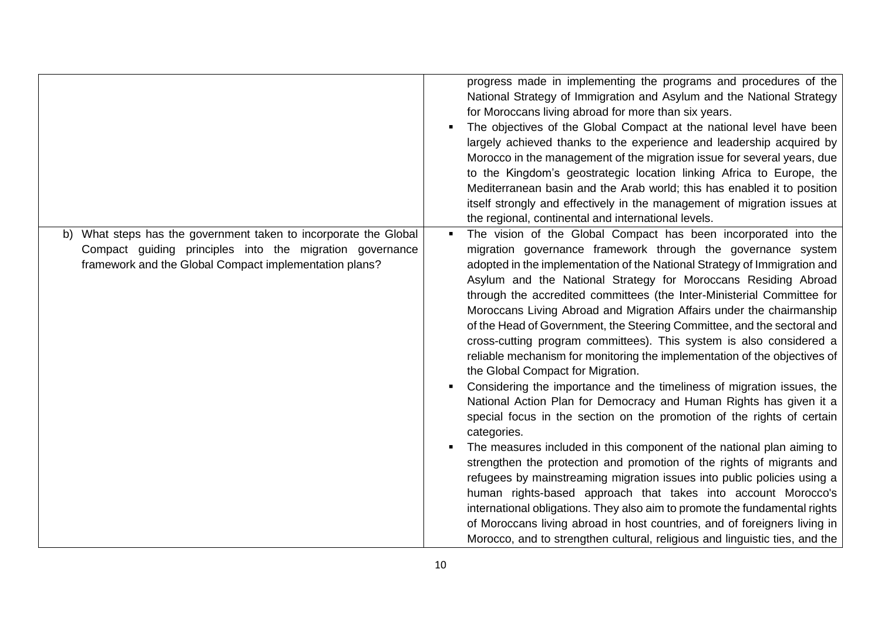|                                                                                                                                                                                           | progress made in implementing the programs and procedures of the<br>National Strategy of Immigration and Asylum and the National Strategy<br>for Moroccans living abroad for more than six years.<br>The objectives of the Global Compact at the national level have been<br>٠<br>largely achieved thanks to the experience and leadership acquired by<br>Morocco in the management of the migration issue for several years, due<br>to the Kingdom's geostrategic location linking Africa to Europe, the<br>Mediterranean basin and the Arab world; this has enabled it to position                                                                                                                                                                                                                                                                                                                                                                                                                                                                                                                                                                                                                                                                                                                                                                                                                                                                                                              |
|-------------------------------------------------------------------------------------------------------------------------------------------------------------------------------------------|---------------------------------------------------------------------------------------------------------------------------------------------------------------------------------------------------------------------------------------------------------------------------------------------------------------------------------------------------------------------------------------------------------------------------------------------------------------------------------------------------------------------------------------------------------------------------------------------------------------------------------------------------------------------------------------------------------------------------------------------------------------------------------------------------------------------------------------------------------------------------------------------------------------------------------------------------------------------------------------------------------------------------------------------------------------------------------------------------------------------------------------------------------------------------------------------------------------------------------------------------------------------------------------------------------------------------------------------------------------------------------------------------------------------------------------------------------------------------------------------------|
|                                                                                                                                                                                           | itself strongly and effectively in the management of migration issues at<br>the regional, continental and international levels.                                                                                                                                                                                                                                                                                                                                                                                                                                                                                                                                                                                                                                                                                                                                                                                                                                                                                                                                                                                                                                                                                                                                                                                                                                                                                                                                                                   |
| What steps has the government taken to incorporate the Global<br>b)<br>Compact guiding principles into the migration governance<br>framework and the Global Compact implementation plans? | The vision of the Global Compact has been incorporated into the<br>п.<br>migration governance framework through the governance system<br>adopted in the implementation of the National Strategy of Immigration and<br>Asylum and the National Strategy for Moroccans Residing Abroad<br>through the accredited committees (the Inter-Ministerial Committee for<br>Moroccans Living Abroad and Migration Affairs under the chairmanship<br>of the Head of Government, the Steering Committee, and the sectoral and<br>cross-cutting program committees). This system is also considered a<br>reliable mechanism for monitoring the implementation of the objectives of<br>the Global Compact for Migration.<br>Considering the importance and the timeliness of migration issues, the<br>٠<br>National Action Plan for Democracy and Human Rights has given it a<br>special focus in the section on the promotion of the rights of certain<br>categories.<br>The measures included in this component of the national plan aiming to<br>strengthen the protection and promotion of the rights of migrants and<br>refugees by mainstreaming migration issues into public policies using a<br>human rights-based approach that takes into account Morocco's<br>international obligations. They also aim to promote the fundamental rights<br>of Moroccans living abroad in host countries, and of foreigners living in<br>Morocco, and to strengthen cultural, religious and linguistic ties, and the |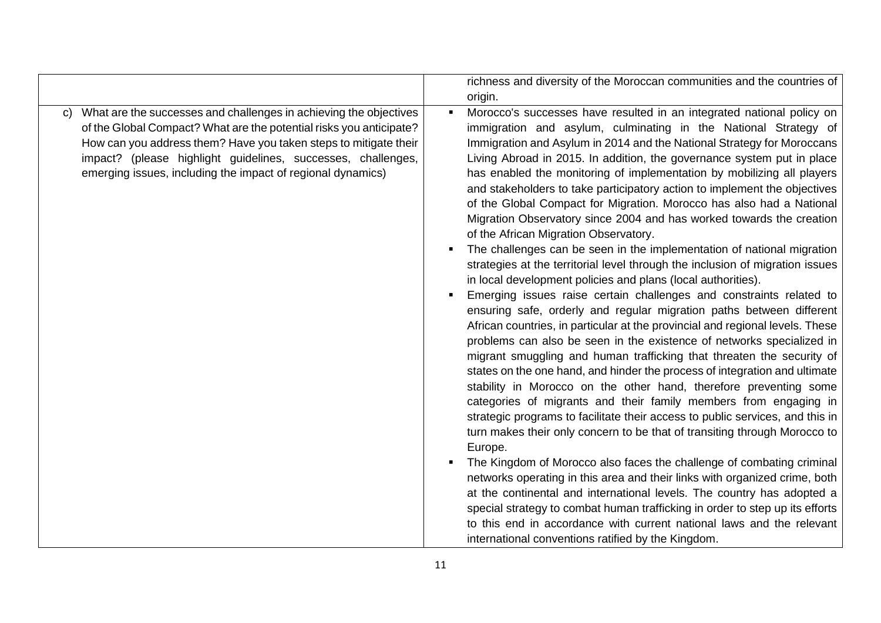|              |                                                                                                                                                                                                                                                                                                                                             |                                  | richness and diversity of the Moroccan communities and the countries of                                                                                                                                                                                                                                                                                                                                                                                                                                                                                                                                                                                                                                                                                                                                                                                                                                                                                                                                                                                                                                                                                                                                                                                                                                                                                                                                                                                                                                                                                                                                                                                                                                                                                                                                                                                                                                                                                                                                                                                                                                   |
|--------------|---------------------------------------------------------------------------------------------------------------------------------------------------------------------------------------------------------------------------------------------------------------------------------------------------------------------------------------------|----------------------------------|-----------------------------------------------------------------------------------------------------------------------------------------------------------------------------------------------------------------------------------------------------------------------------------------------------------------------------------------------------------------------------------------------------------------------------------------------------------------------------------------------------------------------------------------------------------------------------------------------------------------------------------------------------------------------------------------------------------------------------------------------------------------------------------------------------------------------------------------------------------------------------------------------------------------------------------------------------------------------------------------------------------------------------------------------------------------------------------------------------------------------------------------------------------------------------------------------------------------------------------------------------------------------------------------------------------------------------------------------------------------------------------------------------------------------------------------------------------------------------------------------------------------------------------------------------------------------------------------------------------------------------------------------------------------------------------------------------------------------------------------------------------------------------------------------------------------------------------------------------------------------------------------------------------------------------------------------------------------------------------------------------------------------------------------------------------------------------------------------------------|
|              |                                                                                                                                                                                                                                                                                                                                             |                                  | origin.                                                                                                                                                                                                                                                                                                                                                                                                                                                                                                                                                                                                                                                                                                                                                                                                                                                                                                                                                                                                                                                                                                                                                                                                                                                                                                                                                                                                                                                                                                                                                                                                                                                                                                                                                                                                                                                                                                                                                                                                                                                                                                   |
| $\mathbf{C}$ | What are the successes and challenges in achieving the objectives<br>of the Global Compact? What are the potential risks you anticipate?<br>How can you address them? Have you taken steps to mitigate their<br>impact? (please highlight guidelines, successes, challenges,<br>emerging issues, including the impact of regional dynamics) | $\blacksquare$<br>$\blacksquare$ | Morocco's successes have resulted in an integrated national policy on<br>immigration and asylum, culminating in the National Strategy of<br>Immigration and Asylum in 2014 and the National Strategy for Moroccans<br>Living Abroad in 2015. In addition, the governance system put in place<br>has enabled the monitoring of implementation by mobilizing all players<br>and stakeholders to take participatory action to implement the objectives<br>of the Global Compact for Migration. Morocco has also had a National<br>Migration Observatory since 2004 and has worked towards the creation<br>of the African Migration Observatory.<br>The challenges can be seen in the implementation of national migration<br>strategies at the territorial level through the inclusion of migration issues<br>in local development policies and plans (local authorities).<br>Emerging issues raise certain challenges and constraints related to<br>ensuring safe, orderly and regular migration paths between different<br>African countries, in particular at the provincial and regional levels. These<br>problems can also be seen in the existence of networks specialized in<br>migrant smuggling and human trafficking that threaten the security of<br>states on the one hand, and hinder the process of integration and ultimate<br>stability in Morocco on the other hand, therefore preventing some<br>categories of migrants and their family members from engaging in<br>strategic programs to facilitate their access to public services, and this in<br>turn makes their only concern to be that of transiting through Morocco to<br>Europe.<br>The Kingdom of Morocco also faces the challenge of combating criminal<br>networks operating in this area and their links with organized crime, both<br>at the continental and international levels. The country has adopted a<br>special strategy to combat human trafficking in order to step up its efforts<br>to this end in accordance with current national laws and the relevant<br>international conventions ratified by the Kingdom. |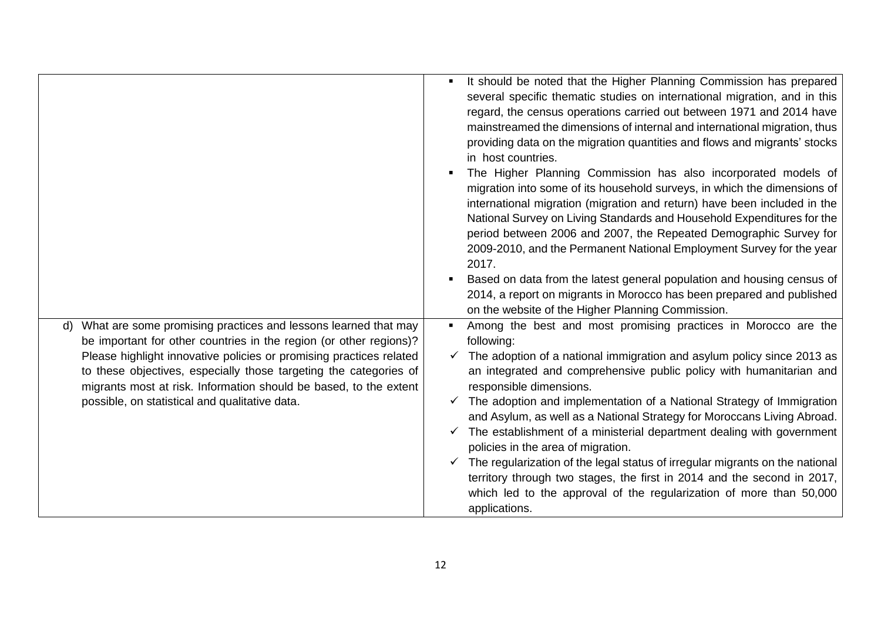|                                                                                                                                                                                                                                                                                                                                                                                                                         | It should be noted that the Higher Planning Commission has prepared<br>several specific thematic studies on international migration, and in this<br>regard, the census operations carried out between 1971 and 2014 have<br>mainstreamed the dimensions of internal and international migration, thus<br>providing data on the migration quantities and flows and migrants' stocks<br>in host countries.<br>The Higher Planning Commission has also incorporated models of<br>migration into some of its household surveys, in which the dimensions of<br>international migration (migration and return) have been included in the<br>National Survey on Living Standards and Household Expenditures for the<br>period between 2006 and 2007, the Repeated Demographic Survey for<br>2009-2010, and the Permanent National Employment Survey for the year<br>2017.<br>Based on data from the latest general population and housing census of<br>2014, a report on migrants in Morocco has been prepared and published<br>on the website of the Higher Planning Commission. |
|-------------------------------------------------------------------------------------------------------------------------------------------------------------------------------------------------------------------------------------------------------------------------------------------------------------------------------------------------------------------------------------------------------------------------|----------------------------------------------------------------------------------------------------------------------------------------------------------------------------------------------------------------------------------------------------------------------------------------------------------------------------------------------------------------------------------------------------------------------------------------------------------------------------------------------------------------------------------------------------------------------------------------------------------------------------------------------------------------------------------------------------------------------------------------------------------------------------------------------------------------------------------------------------------------------------------------------------------------------------------------------------------------------------------------------------------------------------------------------------------------------------|
| What are some promising practices and lessons learned that may<br>$\mathsf{d}$<br>be important for other countries in the region (or other regions)?<br>Please highlight innovative policies or promising practices related<br>to these objectives, especially those targeting the categories of<br>migrants most at risk. Information should be based, to the extent<br>possible, on statistical and qualitative data. | Among the best and most promising practices in Morocco are the<br>following:<br>The adoption of a national immigration and asylum policy since 2013 as<br>✓<br>an integrated and comprehensive public policy with humanitarian and<br>responsible dimensions.<br>The adoption and implementation of a National Strategy of Immigration<br>and Asylum, as well as a National Strategy for Moroccans Living Abroad.<br>The establishment of a ministerial department dealing with government<br>policies in the area of migration.<br>$\checkmark$ The regularization of the legal status of irregular migrants on the national<br>territory through two stages, the first in 2014 and the second in 2017,<br>which led to the approval of the regularization of more than 50,000<br>applications.                                                                                                                                                                                                                                                                           |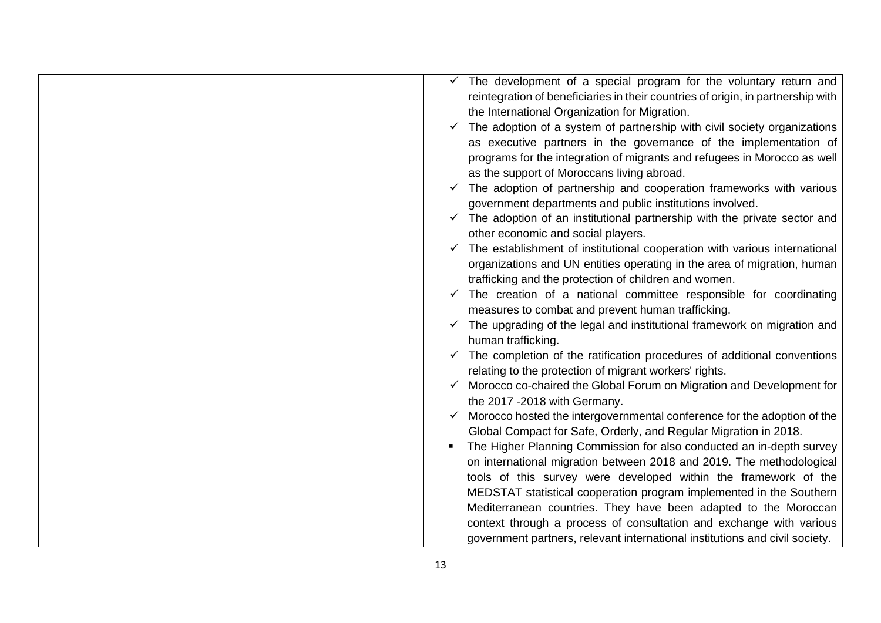|  | $\checkmark$ The development of a special program for the voluntary return and       |
|--|--------------------------------------------------------------------------------------|
|  | reintegration of beneficiaries in their countries of origin, in partnership with     |
|  | the International Organization for Migration.                                        |
|  | The adoption of a system of partnership with civil society organizations             |
|  | as executive partners in the governance of the implementation of                     |
|  | programs for the integration of migrants and refugees in Morocco as well             |
|  | as the support of Moroccans living abroad.                                           |
|  | The adoption of partnership and cooperation frameworks with various                  |
|  | government departments and public institutions involved.                             |
|  | The adoption of an institutional partnership with the private sector and             |
|  | other economic and social players.                                                   |
|  | The establishment of institutional cooperation with various international            |
|  | organizations and UN entities operating in the area of migration, human              |
|  | trafficking and the protection of children and women.                                |
|  | The creation of a national committee responsible for coordinating                    |
|  | measures to combat and prevent human trafficking.                                    |
|  | $\checkmark$ The upgrading of the legal and institutional framework on migration and |
|  | human trafficking.                                                                   |
|  | The completion of the ratification procedures of additional conventions              |
|  | relating to the protection of migrant workers' rights.                               |
|  | Morocco co-chaired the Global Forum on Migration and Development for                 |
|  | the 2017 - 2018 with Germany.                                                        |
|  | Morocco hosted the intergovernmental conference for the adoption of the              |
|  | Global Compact for Safe, Orderly, and Regular Migration in 2018.                     |
|  | The Higher Planning Commission for also conducted an in-depth survey                 |
|  | on international migration between 2018 and 2019. The methodological                 |
|  | tools of this survey were developed within the framework of the                      |
|  | MEDSTAT statistical cooperation program implemented in the Southern                  |
|  | Mediterranean countries. They have been adapted to the Moroccan                      |
|  | context through a process of consultation and exchange with various                  |
|  | government partners, relevant international institutions and civil society.          |
|  |                                                                                      |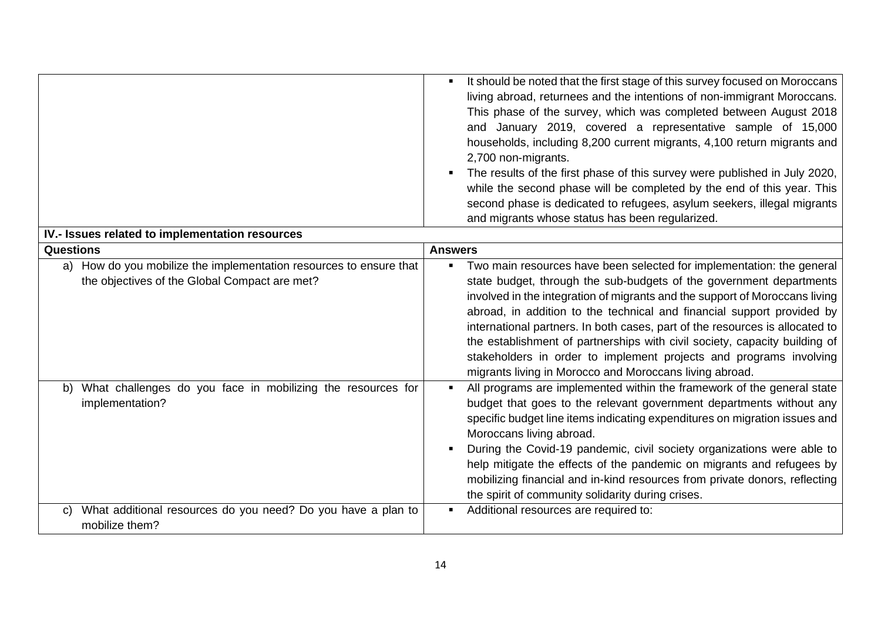|                                                 |                                                                                                                     | $\blacksquare$ | It should be noted that the first stage of this survey focused on Moroccans<br>living abroad, returnees and the intentions of non-immigrant Moroccans.<br>This phase of the survey, which was completed between August 2018<br>and January 2019, covered a representative sample of 15,000<br>households, including 8,200 current migrants, 4,100 return migrants and<br>2,700 non-migrants.<br>The results of the first phase of this survey were published in July 2020,<br>while the second phase will be completed by the end of this year. This<br>second phase is dedicated to refugees, asylum seekers, illegal migrants<br>and migrants whose status has been regularized. |
|-------------------------------------------------|---------------------------------------------------------------------------------------------------------------------|----------------|------------------------------------------------------------------------------------------------------------------------------------------------------------------------------------------------------------------------------------------------------------------------------------------------------------------------------------------------------------------------------------------------------------------------------------------------------------------------------------------------------------------------------------------------------------------------------------------------------------------------------------------------------------------------------------|
| IV.- Issues related to implementation resources |                                                                                                                     |                |                                                                                                                                                                                                                                                                                                                                                                                                                                                                                                                                                                                                                                                                                    |
| <b>Questions</b>                                |                                                                                                                     | <b>Answers</b> |                                                                                                                                                                                                                                                                                                                                                                                                                                                                                                                                                                                                                                                                                    |
|                                                 | a) How do you mobilize the implementation resources to ensure that<br>the objectives of the Global Compact are met? | $\blacksquare$ | Two main resources have been selected for implementation: the general<br>state budget, through the sub-budgets of the government departments<br>involved in the integration of migrants and the support of Moroccans living<br>abroad, in addition to the technical and financial support provided by<br>international partners. In both cases, part of the resources is allocated to<br>the establishment of partnerships with civil society, capacity building of<br>stakeholders in order to implement projects and programs involving<br>migrants living in Morocco and Moroccans living abroad.                                                                               |
|                                                 | b) What challenges do you face in mobilizing the resources for<br>implementation?                                   |                | All programs are implemented within the framework of the general state<br>budget that goes to the relevant government departments without any<br>specific budget line items indicating expenditures on migration issues and<br>Moroccans living abroad.<br>During the Covid-19 pandemic, civil society organizations were able to<br>help mitigate the effects of the pandemic on migrants and refugees by<br>mobilizing financial and in-kind resources from private donors, reflecting<br>the spirit of community solidarity during crises.                                                                                                                                      |
| C)                                              | What additional resources do you need? Do you have a plan to<br>mobilize them?                                      | $\blacksquare$ | Additional resources are required to:                                                                                                                                                                                                                                                                                                                                                                                                                                                                                                                                                                                                                                              |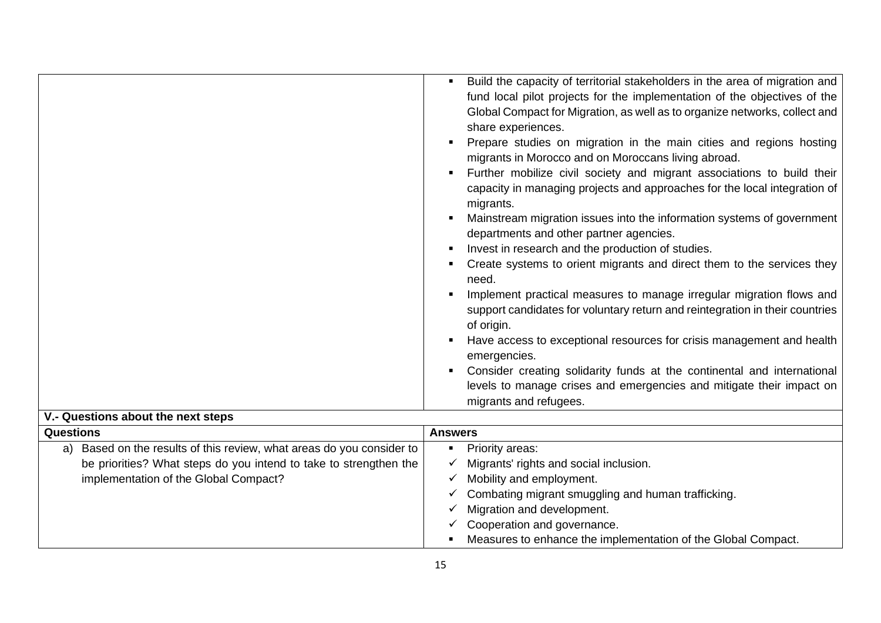| Build the capacity of territorial stakeholders in the area of migration and<br>fund local pilot projects for the implementation of the objectives of the<br>Global Compact for Migration, as well as to organize networks, collect and<br>share experiences.<br>Prepare studies on migration in the main cities and regions hosting<br>migrants in Morocco and on Moroccans living abroad.<br>Further mobilize civil society and migrant associations to build their<br>capacity in managing projects and approaches for the local integration of<br>migrants.<br>Mainstream migration issues into the information systems of government<br>departments and other partner agencies.<br>Invest in research and the production of studies.<br>Create systems to orient migrants and direct them to the services they<br>need.<br>Implement practical measures to manage irregular migration flows and<br>support candidates for voluntary return and reintegration in their countries<br>of origin.<br>Have access to exceptional resources for crisis management and health |
|----------------------------------------------------------------------------------------------------------------------------------------------------------------------------------------------------------------------------------------------------------------------------------------------------------------------------------------------------------------------------------------------------------------------------------------------------------------------------------------------------------------------------------------------------------------------------------------------------------------------------------------------------------------------------------------------------------------------------------------------------------------------------------------------------------------------------------------------------------------------------------------------------------------------------------------------------------------------------------------------------------------------------------------------------------------------------|
| emergencies.                                                                                                                                                                                                                                                                                                                                                                                                                                                                                                                                                                                                                                                                                                                                                                                                                                                                                                                                                                                                                                                               |
| Consider creating solidarity funds at the continental and international<br>levels to manage crises and emergencies and mitigate their impact on<br>migrants and refugees.                                                                                                                                                                                                                                                                                                                                                                                                                                                                                                                                                                                                                                                                                                                                                                                                                                                                                                  |

## **V.- Questions about the next steps**

| <b>Questions</b>                                                                                                                                                                         | <b>Answers</b>                                                                                                                                                                      |  |
|------------------------------------------------------------------------------------------------------------------------------------------------------------------------------------------|-------------------------------------------------------------------------------------------------------------------------------------------------------------------------------------|--|
| Based on the results of this review, what areas do you consider to  <br>a)<br>be priorities? What steps do you intend to take to strengthen the<br>implementation of the Global Compact? | Priority areas:<br>п<br>Migrants' rights and social inclusion.<br>Mobility and employment.<br>Combating migrant smuggling and human trafficking.<br>v<br>Migration and development. |  |
|                                                                                                                                                                                          | Cooperation and governance.<br>Measures to enhance the implementation of the Global Compact.                                                                                        |  |